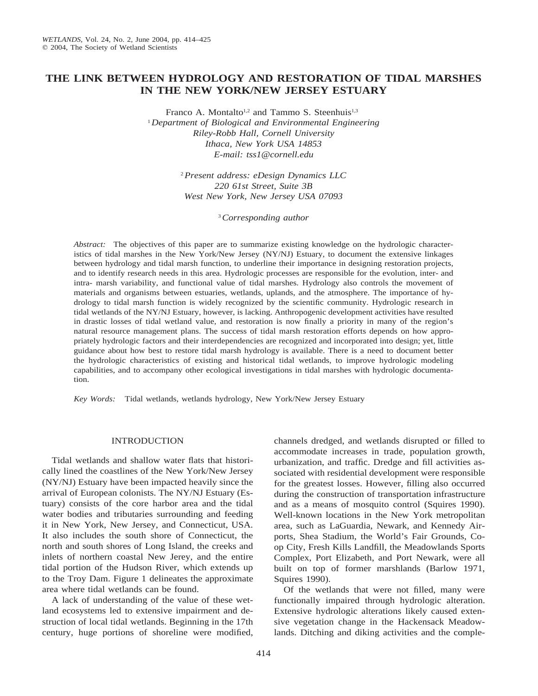# **THE LINK BETWEEN HYDROLOGY AND RESTORATION OF TIDAL MARSHES IN THE NEW YORK/NEW JERSEY ESTUARY**

Franco A. Montalto<sup>1,2</sup> and Tammo S. Steenhuis<sup>1,3</sup> <sup>1</sup>*Department of Biological and Environmental Engineering Riley-Robb Hall, Cornell University Ithaca, New York USA 14853 E-mail: tss1@cornell.edu*

> <sup>2</sup>*Present address: eDesign Dynamics LLC 220 61st Street, Suite 3B West New York, New Jersey USA 07093*

> > <sup>3</sup>*Corresponding author*

*Abstract:* The objectives of this paper are to summarize existing knowledge on the hydrologic characteristics of tidal marshes in the New York/New Jersey (NY/NJ) Estuary, to document the extensive linkages between hydrology and tidal marsh function, to underline their importance in designing restoration projects, and to identify research needs in this area. Hydrologic processes are responsible for the evolution, inter- and intra- marsh variability, and functional value of tidal marshes. Hydrology also controls the movement of materials and organisms between estuaries, wetlands, uplands, and the atmosphere. The importance of hydrology to tidal marsh function is widely recognized by the scientific community. Hydrologic research in tidal wetlands of the NY/NJ Estuary, however, is lacking. Anthropogenic development activities have resulted in drastic losses of tidal wetland value, and restoration is now finally a priority in many of the region's natural resource management plans. The success of tidal marsh restoration efforts depends on how appropriately hydrologic factors and their interdependencies are recognized and incorporated into design; yet, little guidance about how best to restore tidal marsh hydrology is available. There is a need to document better the hydrologic characteristics of existing and historical tidal wetlands, to improve hydrologic modeling capabilities, and to accompany other ecological investigations in tidal marshes with hydrologic documentation.

*Key Words:* Tidal wetlands, wetlands hydrology, New York/New Jersey Estuary

### INTRODUCTION

Tidal wetlands and shallow water flats that historically lined the coastlines of the New York/New Jersey (NY/NJ) Estuary have been impacted heavily since the arrival of European colonists. The NY/NJ Estuary (Estuary) consists of the core harbor area and the tidal water bodies and tributaries surrounding and feeding it in New York, New Jersey, and Connecticut, USA. It also includes the south shore of Connecticut, the north and south shores of Long Island, the creeks and inlets of northern coastal New Jerey, and the entire tidal portion of the Hudson River, which extends up to the Troy Dam. Figure 1 delineates the approximate area where tidal wetlands can be found.

A lack of understanding of the value of these wetland ecosystems led to extensive impairment and destruction of local tidal wetlands. Beginning in the 17th century, huge portions of shoreline were modified, channels dredged, and wetlands disrupted or filled to accommodate increases in trade, population growth, urbanization, and traffic. Dredge and fill activities associated with residential development were responsible for the greatest losses. However, filling also occurred during the construction of transportation infrastructure and as a means of mosquito control (Squires 1990). Well-known locations in the New York metropolitan area, such as LaGuardia, Newark, and Kennedy Airports, Shea Stadium, the World's Fair Grounds, Coop City, Fresh Kills Landfill, the Meadowlands Sports Complex, Port Elizabeth, and Port Newark, were all built on top of former marshlands (Barlow 1971, Squires 1990).

Of the wetlands that were not filled, many were functionally impaired through hydrologic alteration. Extensive hydrologic alterations likely caused extensive vegetation change in the Hackensack Meadowlands. Ditching and diking activities and the comple-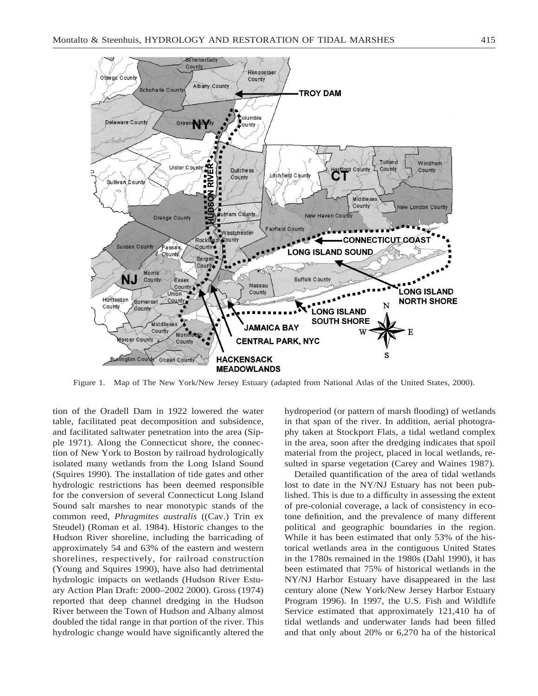

Figure 1. Map of The New York/New Jersey Estuary (adapted from National Atlas of the United States, 2000).

tion of the Oradell Dam in 1922 lowered the water table, facilitated peat decomposition and subsidence, and facilitated saltwater penetration into the area (Sipple 1971). Along the Connecticut shore, the connection of New York to Boston by railroad hydrologically isolated many wetlands from the Long Island Sound (Squires 1990). The installation of tide gates and other hydrologic restrictions has been deemed responsible for the conversion of several Connecticut Long Island Sound salt marshes to near monotypic stands of the common reed, *Phragmites australis* ((Cav.) Trin ex Steudel) (Roman et al. 1984). Historic changes to the Hudson River shoreline, including the barricading of approximately 54 and 63% of the eastern and western shorelines, respectively, for railroad construction (Young and Squires 1990), have also had detrimental hydrologic impacts on wetlands (Hudson River Estuary Action Plan Draft: 2000–2002 2000). Gross (1974) reported that deep channel dredging in the Hudson River between the Town of Hudson and Albany almost doubled the tidal range in that portion of the river. This hydrologic change would have significantly altered the

hydroperiod (or pattern of marsh flooding) of wetlands in that span of the river. In addition, aerial photography taken at Stockport Flats, a tidal wetland complex in the area, soon after the dredging indicates that spoil material from the project, placed in local wetlands, resulted in sparse vegetation (Carey and Waines 1987).

Detailed quantification of the area of tidal wetlands lost to date in the NY/NJ Estuary has not been published. This is due to a difficulty in assessing the extent of pre-colonial coverage, a lack of consistency in ecotone definition, and the prevalence of many different political and geographic boundaries in the region. While it has been estimated that only 53% of the historical wetlands area in the contiguous United States in the 1780s remained in the 1980s (Dahl 1990), it has been estimated that 75% of historical wetlands in the NY/NJ Harbor Estuary have disappeared in the last century alone (New York/New Jersey Harbor Estuary Program 1996). In 1997, the U.S. Fish and Wildlife Service estimated that approximately 121,410 ha of tidal wetlands and underwater lands had been filled and that only about 20% or 6,270 ha of the historical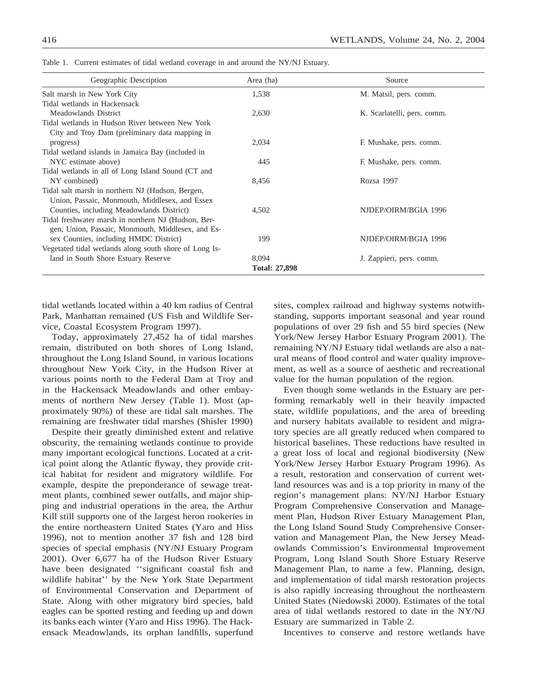| Geographic Description                                 | Area (ha)            | Source                      |
|--------------------------------------------------------|----------------------|-----------------------------|
| Salt marsh in New York City                            | 1,538                | M. Matsil, pers. comm.      |
| Tidal wetlands in Hackensack                           |                      |                             |
| Meadowlands District                                   | 2,630                | K. Scarlatelli, pers. comm. |
| Tidal wetlands in Hudson River between New York        |                      |                             |
| City and Troy Dam (preliminary data mapping in         |                      |                             |
| progress)                                              | 2,034                | F. Mushake, pers. comm.     |
| Tidal wetland islands in Jamaica Bay (included in      |                      |                             |
| NYC estimate above)                                    | 445                  | F. Mushake, pers. comm.     |
| Tidal wetlands in all of Long Island Sound (CT and     |                      |                             |
| NY combined)                                           | 8,456                | Rozsa 1997                  |
| Tidal salt marsh in northern NJ (Hudson, Bergen,       |                      |                             |
| Union, Passaic, Monmouth, Middlesex, and Essex         |                      |                             |
| Counties, including Meadowlands District)              | 4.502                | NJDEP/OIRM/BGIA 1996        |
| Tidal freshwater marsh in northern NJ (Hudson, Ber-    |                      |                             |
| gen, Union, Passaic, Monmouth, Middlesex, and Es-      |                      |                             |
| sex Counties, including HMDC District)                 | 199                  | NJDEP/OIRM/BGIA 1996        |
| Vegetated tidal wetlands along south shore of Long Is- |                      |                             |
| land in South Shore Estuary Reserve                    | 8,094                | J. Zappieri, pers. comm.    |
|                                                        | <b>Total: 27,898</b> |                             |

Table 1. Current estimates of tidal wetland coverage in and around the NY/NJ Estuary.

tidal wetlands located within a 40 km radius of Central Park, Manhattan remained (US Fish and Wildlife Service, Coastal Ecosystem Program 1997).

Today, approximately 27,452 ha of tidal marshes remain, distributed on both shores of Long Island, throughout the Long Island Sound, in various locations throughout New York City, in the Hudson River at various points north to the Federal Dam at Troy and in the Hackensack Meadowlands and other embayments of northern New Jersey (Table 1). Most (approximately 90%) of these are tidal salt marshes. The remaining are freshwater tidal marshes (Shisler 1990)

Despite their greatly diminished extent and relative obscurity, the remaining wetlands continue to provide many important ecological functions. Located at a critical point along the Atlantic flyway, they provide critical habitat for resident and migratory wildlife. For example, despite the preponderance of sewage treatment plants, combined sewer outfalls, and major shipping and industrial operations in the area, the Arthur Kill still supports one of the largest heron rookeries in the entire northeastern United States (Yaro and Hiss 1996), not to mention another 37 fish and 128 bird species of special emphasis (NY/NJ Estuary Program 2001). Over 6,677 ha of the Hudson River Estuary have been designated ''significant coastal fish and wildlife habitat'' by the New York State Department of Environmental Conservation and Department of State. Along with other migratory bird species, bald eagles can be spotted resting and feeding up and down its banks each winter (Yaro and Hiss 1996). The Hackensack Meadowlands, its orphan landfills, superfund

sites, complex railroad and highway systems notwithstanding, supports important seasonal and year round populations of over 29 fish and 55 bird species (New York/New Jersey Harbor Estuary Program 2001). The remaining NY/NJ Estuary tidal wetlands are also a natural means of flood control and water quality improvement, as well as a source of aesthetic and recreational value for the human population of the region.

Even though some wetlands in the Estuary are performing remarkably well in their heavily impacted state, wildlife populations, and the area of breeding and nursery habitats available to resident and migratory species are all greatly reduced when compared to historical baselines. These reductions have resulted in a great loss of local and regional biodiversity (New York/New Jersey Harbor Estuary Program 1996). As a result, restoration and conservation of current wetland resources was and is a top priority in many of the region's management plans: NY/NJ Harbor Estuary Program Comprehensive Conservation and Management Plan, Hudson River Estuary Management Plan, the Long Island Sound Study Comprehensive Conservation and Management Plan, the New Jersey Meadowlands Commission's Environmental Improvement Program, Long Island South Shore Estuary Reserve Management Plan, to name a few. Planning, design, and implementation of tidal marsh restoration projects is also rapidly increasing throughout the northeastern United States (Niedowski 2000). Estimates of the total area of tidal wetlands restored to date in the NY/NJ Estuary are summarized in Table 2.

Incentives to conserve and restore wetlands have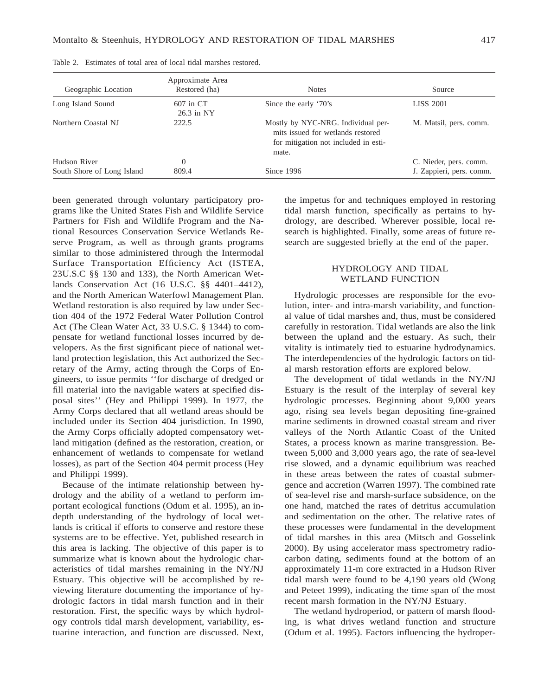| Geographic Location        | Approximate Area<br>Restored (ha) | <b>Notes</b>                                                                                                             | Source                   |
|----------------------------|-----------------------------------|--------------------------------------------------------------------------------------------------------------------------|--------------------------|
| Long Island Sound          | 607 in CT<br>$26.3$ in NY         | Since the early '70's                                                                                                    | <b>LISS 2001</b>         |
| Northern Coastal NJ        | 222.5                             | Mostly by NYC-NRG. Individual per-<br>mits issued for wetlands restored<br>for mitigation not included in esti-<br>mate. | M. Matsil, pers. comm.   |
| Hudson River               | $\Omega$                          |                                                                                                                          | C. Nieder, pers. comm.   |
| South Shore of Long Island | 809.4                             | Since 1996                                                                                                               | J. Zappieri, pers. comm. |

Table 2. Estimates of total area of local tidal marshes restored.

been generated through voluntary participatory programs like the United States Fish and Wildlife Service Partners for Fish and Wildlife Program and the National Resources Conservation Service Wetlands Reserve Program, as well as through grants programs similar to those administered through the Intermodal Surface Transportation Efficiency Act (ISTEA, 23U.S.C §§ 130 and 133), the North American Wetlands Conservation Act (16 U.S.C. §§ 4401–4412), and the North American Waterfowl Management Plan. Wetland restoration is also required by law under Section 404 of the 1972 Federal Water Pollution Control Act (The Clean Water Act, 33 U.S.C. § 1344) to compensate for wetland functional losses incurred by developers. As the first significant piece of national wetland protection legislation, this Act authorized the Secretary of the Army, acting through the Corps of Engineers, to issue permits ''for discharge of dredged or fill material into the navigable waters at specified disposal sites'' (Hey and Philippi 1999). In 1977, the Army Corps declared that all wetland areas should be included under its Section 404 jurisdiction. In 1990, the Army Corps officially adopted compensatory wetland mitigation (defined as the restoration, creation, or enhancement of wetlands to compensate for wetland losses), as part of the Section 404 permit process (Hey and Philippi 1999).

Because of the intimate relationship between hydrology and the ability of a wetland to perform important ecological functions (Odum et al. 1995), an indepth understanding of the hydrology of local wetlands is critical if efforts to conserve and restore these systems are to be effective. Yet, published research in this area is lacking. The objective of this paper is to summarize what is known about the hydrologic characteristics of tidal marshes remaining in the NY/NJ Estuary. This objective will be accomplished by reviewing literature documenting the importance of hydrologic factors in tidal marsh function and in their restoration. First, the specific ways by which hydrology controls tidal marsh development, variability, estuarine interaction, and function are discussed. Next,

the impetus for and techniques employed in restoring tidal marsh function, specifically as pertains to hydrology, are described. Wherever possible, local research is highlighted. Finally, some areas of future research are suggested briefly at the end of the paper.

### HYDROLOGY AND TIDAL WETLAND FUNCTION

Hydrologic processes are responsible for the evolution, inter- and intra-marsh variability, and functional value of tidal marshes and, thus, must be considered carefully in restoration. Tidal wetlands are also the link between the upland and the estuary. As such, their vitality is intimately tied to estuarine hydrodynamics. The interdependencies of the hydrologic factors on tidal marsh restoration efforts are explored below.

The development of tidal wetlands in the NY/NJ Estuary is the result of the interplay of several key hydrologic processes. Beginning about 9,000 years ago, rising sea levels began depositing fine-grained marine sediments in drowned coastal stream and river valleys of the North Atlantic Coast of the United States, a process known as marine transgression. Between 5,000 and 3,000 years ago, the rate of sea-level rise slowed, and a dynamic equilibrium was reached in these areas between the rates of coastal submergence and accretion (Warren 1997). The combined rate of sea-level rise and marsh-surface subsidence, on the one hand, matched the rates of detritus accumulation and sedimentation on the other. The relative rates of these processes were fundamental in the development of tidal marshes in this area (Mitsch and Gosselink 2000). By using accelerator mass spectrometry radiocarbon dating, sediments found at the bottom of an approximately 11-m core extracted in a Hudson River tidal marsh were found to be 4,190 years old (Wong and Peteet 1999), indicating the time span of the most recent marsh formation in the NY/NJ Estuary.

The wetland hydroperiod, or pattern of marsh flooding, is what drives wetland function and structure (Odum et al. 1995). Factors influencing the hydroper-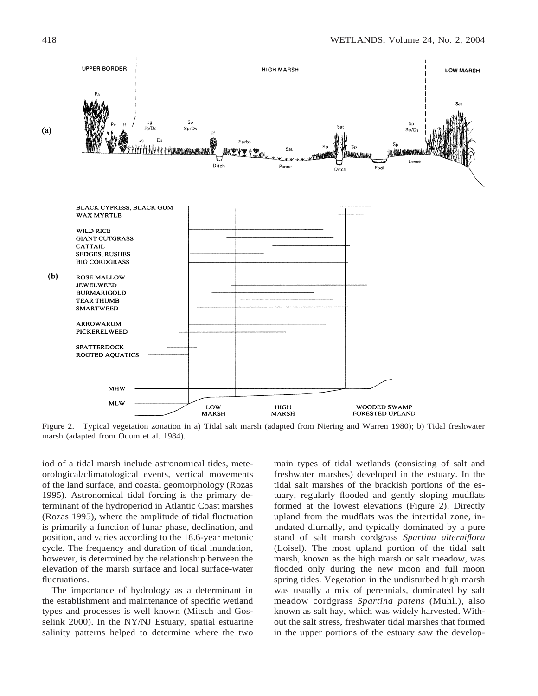

Figure 2. Typical vegetation zonation in a) Tidal salt marsh (adapted from Niering and Warren 1980); b) Tidal freshwater marsh (adapted from Odum et al. 1984).

iod of a tidal marsh include astronomical tides, meteorological/climatological events, vertical movements of the land surface, and coastal geomorphology (Rozas 1995). Astronomical tidal forcing is the primary determinant of the hydroperiod in Atlantic Coast marshes (Rozas 1995), where the amplitude of tidal fluctuation is primarily a function of lunar phase, declination, and position, and varies according to the 18.6-year metonic cycle. The frequency and duration of tidal inundation, however, is determined by the relationship between the elevation of the marsh surface and local surface-water fluctuations.

The importance of hydrology as a determinant in the establishment and maintenance of specific wetland types and processes is well known (Mitsch and Gosselink 2000). In the NY/NJ Estuary, spatial estuarine salinity patterns helped to determine where the two

main types of tidal wetlands (consisting of salt and freshwater marshes) developed in the estuary. In the tidal salt marshes of the brackish portions of the estuary, regularly flooded and gently sloping mudflats formed at the lowest elevations (Figure 2). Directly upland from the mudflats was the intertidal zone, inundated diurnally, and typically dominated by a pure stand of salt marsh cordgrass *Spartina alterniflora* (Loisel). The most upland portion of the tidal salt marsh, known as the high marsh or salt meadow, was flooded only during the new moon and full moon spring tides. Vegetation in the undisturbed high marsh was usually a mix of perennials, dominated by salt meadow cordgrass *Spartina patens* (Muhl.), also known as salt hay, which was widely harvested. Without the salt stress, freshwater tidal marshes that formed in the upper portions of the estuary saw the develop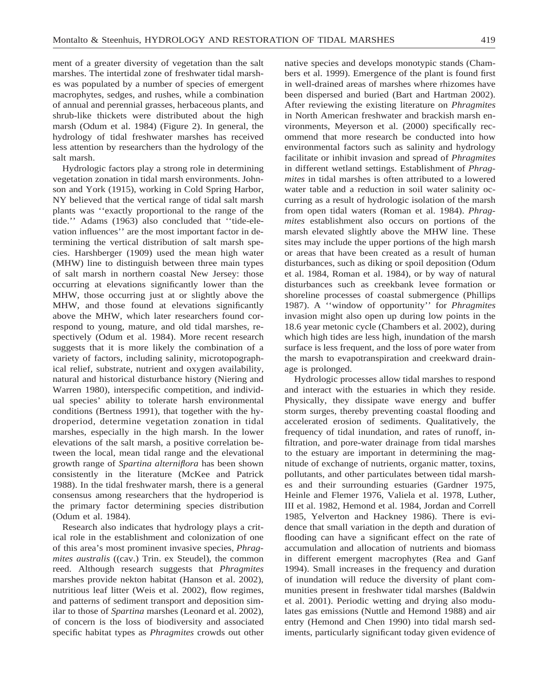ment of a greater diversity of vegetation than the salt marshes. The intertidal zone of freshwater tidal marshes was populated by a number of species of emergent macrophytes, sedges, and rushes, while a combination of annual and perennial grasses, herbaceous plants, and shrub-like thickets were distributed about the high marsh (Odum et al. 1984) (Figure 2). In general, the hydrology of tidal freshwater marshes has received less attention by researchers than the hydrology of the salt marsh.

Hydrologic factors play a strong role in determining vegetation zonation in tidal marsh environments. Johnson and York (1915), working in Cold Spring Harbor, NY believed that the vertical range of tidal salt marsh plants was ''exactly proportional to the range of the tide.'' Adams (1963) also concluded that ''tide-elevation influences'' are the most important factor in determining the vertical distribution of salt marsh species. Harshberger (1909) used the mean high water (MHW) line to distinguish between three main types of salt marsh in northern coastal New Jersey: those occurring at elevations significantly lower than the MHW, those occurring just at or slightly above the MHW, and those found at elevations significantly above the MHW, which later researchers found correspond to young, mature, and old tidal marshes, respectively (Odum et al. 1984). More recent research suggests that it is more likely the combination of a variety of factors, including salinity, microtopographical relief, substrate, nutrient and oxygen availability, natural and historical disturbance history (Niering and Warren 1980), interspecific competition, and individual species' ability to tolerate harsh environmental conditions (Bertness 1991), that together with the hydroperiod, determine vegetation zonation in tidal marshes, especially in the high marsh. In the lower elevations of the salt marsh, a positive correlation between the local, mean tidal range and the elevational growth range of *Spartina alterniflora* has been shown consistently in the literature (McKee and Patrick 1988). In the tidal freshwater marsh, there is a general consensus among researchers that the hydroperiod is the primary factor determining species distribution (Odum et al. 1984).

Research also indicates that hydrology plays a critical role in the establishment and colonization of one of this area's most prominent invasive species, *Phragmites australis* ((cav.) Trin. ex Steudel), the common reed. Although research suggests that *Phragmites* marshes provide nekton habitat (Hanson et al. 2002), nutritious leaf litter (Weis et al. 2002), flow regimes, and patterns of sediment transport and deposition similar to those of *Spartina* marshes (Leonard et al. 2002), of concern is the loss of biodiversity and associated specific habitat types as *Phragmites* crowds out other

native species and develops monotypic stands (Chambers et al. 1999). Emergence of the plant is found first in well-drained areas of marshes where rhizomes have been dispersed and buried (Bart and Hartman 2002). After reviewing the existing literature on *Phragmites* in North American freshwater and brackish marsh environments, Meyerson et al. (2000) specifically recommend that more research be conducted into how environmental factors such as salinity and hydrology facilitate or inhibit invasion and spread of *Phragmites* in different wetland settings. Establishment of *Phragmites* in tidal marshes is often attributed to a lowered water table and a reduction in soil water salinity occurring as a result of hydrologic isolation of the marsh from open tidal waters (Roman et al. 1984). *Phragmites* establishment also occurs on portions of the marsh elevated slightly above the MHW line. These sites may include the upper portions of the high marsh or areas that have been created as a result of human disturbances, such as diking or spoil deposition (Odum et al. 1984, Roman et al. 1984), or by way of natural disturbances such as creekbank levee formation or shoreline processes of coastal submergence (Phillips 1987). A ''window of opportunity'' for *Phragmites* invasion might also open up during low points in the 18.6 year metonic cycle (Chambers et al. 2002), during which high tides are less high, inundation of the marsh surface is less frequent, and the loss of pore water from the marsh to evapotranspiration and creekward drainage is prolonged.

Hydrologic processes allow tidal marshes to respond and interact with the estuaries in which they reside. Physically, they dissipate wave energy and buffer storm surges, thereby preventing coastal flooding and accelerated erosion of sediments. Qualitatively, the frequency of tidal inundation, and rates of runoff, infiltration, and pore-water drainage from tidal marshes to the estuary are important in determining the magnitude of exchange of nutrients, organic matter, toxins, pollutants, and other particulates between tidal marshes and their surrounding estuaries (Gardner 1975, Heinle and Flemer 1976, Valiela et al. 1978, Luther, III et al. 1982, Hemond et al. 1984, Jordan and Correll 1985, Yelverton and Hackney 1986). There is evidence that small variation in the depth and duration of flooding can have a significant effect on the rate of accumulation and allocation of nutrients and biomass in different emergent macrophytes (Rea and Ganf 1994). Small increases in the frequency and duration of inundation will reduce the diversity of plant communities present in freshwater tidal marshes (Baldwin et al. 2001). Periodic wetting and drying also modulates gas emissions (Nuttle and Hemond 1988) and air entry (Hemond and Chen 1990) into tidal marsh sediments, particularly significant today given evidence of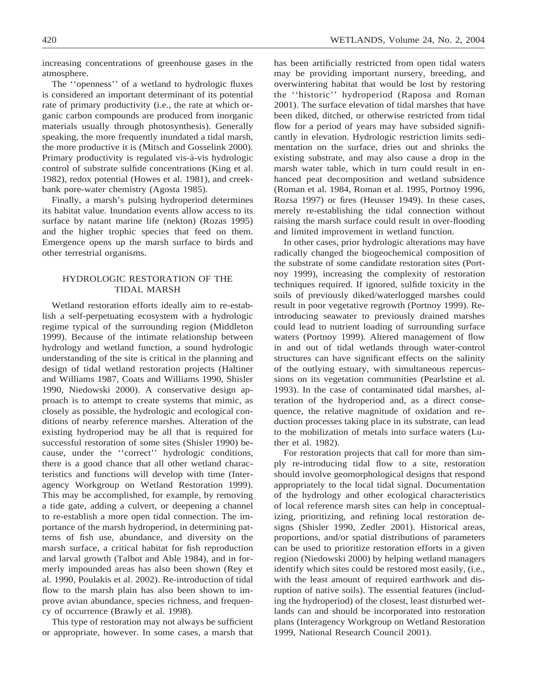increasing concentrations of greenhouse gases in the atmosphere.

The ''openness'' of a wetland to hydrologic fluxes is considered an important determinant of its potential rate of primary productivity (i.e., the rate at which organic carbon compounds are produced from inorganic materials usually through photosynthesis). Generally speaking, the more frequently inundated a tidal marsh, the more productive it is (Mitsch and Gosselink 2000). Primary productivity is regulated vis-à-vis hydrologic control of substrate sulfide concentrations (King et al. 1982), redox potential (Howes et al. 1981), and creekbank pore-water chemistry (Agosta 1985).

Finally, a marsh's pulsing hydroperiod determines its habitat value. Inundation events allow access to its surface by natant marine life (nekton) (Rozas 1995) and the higher trophic species that feed on them. Emergence opens up the marsh surface to birds and other terrestrial organisms.

## HYDROLOGIC RESTORATION OF THE TIDAL MARSH

Wetland restoration efforts ideally aim to re-establish a self-perpetuating ecosystem with a hydrologic regime typical of the surrounding region (Middleton 1999). Because of the intimate relationship between hydrology and wetland function, a sound hydrologic understanding of the site is critical in the planning and design of tidal wetland restoration projects (Haltiner and Williams 1987, Coats and Williams 1990, Shisler 1990, Niedowski 2000). A conservative design approach is to attempt to create systems that mimic, as closely as possible, the hydrologic and ecological conditions of nearby reference marshes. Alteration of the existing hydroperiod may be all that is required for successful restoration of some sites (Shisler 1990) because, under the ''correct'' hydrologic conditions, there is a good chance that all other wetland characteristics and functions will develop with time (Interagency Workgroup on Wetland Restoration 1999). This may be accomplished, for example, by removing a tide gate, adding a culvert, or deepening a channel to re-establish a more open tidal connection. The importance of the marsh hydroperiod, in determining patterns of fish use, abundance, and diversity on the marsh surface, a critical habitat for fish reproduction and larval growth (Talbot and Able 1984), and in formerly impounded areas has also been shown (Rey et al. 1990, Poulakis et al. 2002). Re-introduction of tidal flow to the marsh plain has also been shown to improve avian abundance, species richness, and frequency of occurrence (Brawly et al. 1998).

This type of restoration may not always be sufficient or appropriate, however. In some cases, a marsh that

has been artificially restricted from open tidal waters may be providing important nursery, breeding, and overwintering habitat that would be lost by restoring the ''historic'' hydroperiod (Raposa and Roman 2001). The surface elevation of tidal marshes that have been diked, ditched, or otherwise restricted from tidal flow for a period of years may have subsided significantly in elevation. Hydrologic restriction limits sedimentation on the surface, dries out and shrinks the existing substrate, and may also cause a drop in the marsh water table, which in turn could result in enhanced peat decomposition and wetland subsidence (Roman et al. 1984, Roman et al. 1995, Portnoy 1996, Rozsa 1997) or fires (Heusser 1949). In these cases, merely re-establishing the tidal connection without raising the marsh surface could result in over-flooding and limited improvement in wetland function.

In other cases, prior hydrologic alterations may have radically changed the biogeochemical composition of the substrate of some candidate restoration sites (Portnoy 1999), increasing the complexity of restoration techniques required. If ignored, sulfide toxicity in the soils of previously diked/waterlogged marshes could result in poor vegetative regrowth (Portnoy 1999). Reintroducing seawater to previously drained marshes could lead to nutrient loading of surrounding surface waters (Portnoy 1999). Altered management of flow in and out of tidal wetlands through water-control structures can have significant effects on the salinity of the outlying estuary, with simultaneous repercussions on its vegetation communities (Pearlstine et al. 1993). In the case of contaminated tidal marshes, alteration of the hydroperiod and, as a direct consequence, the relative magnitude of oxidation and reduction processes taking place in its substrate, can lead to the mobilization of metals into surface waters (Luther et al. 1982).

For restoration projects that call for more than simply re-introducing tidal flow to a site, restoration should involve geomorphological designs that respond appropriately to the local tidal signal. Documentation of the hydrology and other ecological characteristics of local reference marsh sites can help in conceptualizing, prioritizing, and refining local restoration designs (Shisler 1990, Zedler 2001). Historical areas, proportions, and/or spatial distributions of parameters can be used to prioritize restoration efforts in a given region (Niedowski 2000) by helping wetland managers identify which sites could be restored most easily, (i.e., with the least amount of required earthwork and disruption of native soils). The essential features (including the hydroperiod) of the closest, least disturbed wetlands can and should be incorporated into restoration plans (Interagency Workgroup on Wetland Restoration 1999, National Research Council 2001).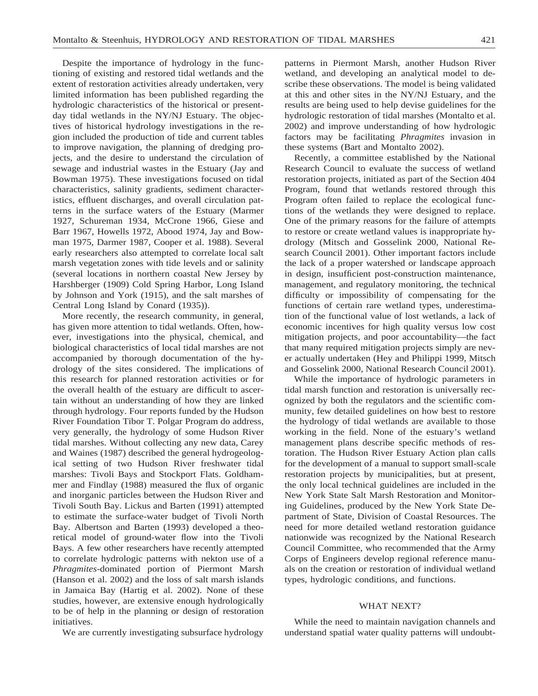Despite the importance of hydrology in the functioning of existing and restored tidal wetlands and the extent of restoration activities already undertaken, very limited information has been published regarding the hydrologic characteristics of the historical or presentday tidal wetlands in the NY/NJ Estuary. The objectives of historical hydrology investigations in the region included the production of tide and current tables to improve navigation, the planning of dredging projects, and the desire to understand the circulation of sewage and industrial wastes in the Estuary (Jay and Bowman 1975). These investigations focused on tidal characteristics, salinity gradients, sediment characteristics, effluent discharges, and overall circulation patterns in the surface waters of the Estuary (Marmer 1927, Schureman 1934, McCrone 1966, Giese and Barr 1967, Howells 1972, Abood 1974, Jay and Bowman 1975, Darmer 1987, Cooper et al. 1988). Several early researchers also attempted to correlate local salt marsh vegetation zones with tide levels and or salinity (several locations in northern coastal New Jersey by Harshberger (1909) Cold Spring Harbor, Long Island by Johnson and York (1915), and the salt marshes of Central Long Island by Conard (1935)).

More recently, the research community, in general, has given more attention to tidal wetlands. Often, however, investigations into the physical, chemical, and biological characteristics of local tidal marshes are not accompanied by thorough documentation of the hydrology of the sites considered. The implications of this research for planned restoration activities or for the overall health of the estuary are difficult to ascertain without an understanding of how they are linked through hydrology. Four reports funded by the Hudson River Foundation Tibor T. Polgar Program do address, very generally, the hydrology of some Hudson River tidal marshes. Without collecting any new data, Carey and Waines (1987) described the general hydrogeological setting of two Hudson River freshwater tidal marshes: Tivoli Bays and Stockport Flats. Goldhammer and Findlay (1988) measured the flux of organic and inorganic particles between the Hudson River and Tivoli South Bay. Lickus and Barten (1991) attempted to estimate the surface-water budget of Tivoli North Bay. Albertson and Barten (1993) developed a theoretical model of ground-water flow into the Tivoli Bays. A few other researchers have recently attempted to correlate hydrologic patterns with nekton use of a *Phragmites*-dominated portion of Piermont Marsh (Hanson et al. 2002) and the loss of salt marsh islands in Jamaica Bay (Hartig et al. 2002). None of these studies, however, are extensive enough hydrologically to be of help in the planning or design of restoration initiatives.

We are currently investigating subsurface hydrology

patterns in Piermont Marsh, another Hudson River wetland, and developing an analytical model to describe these observations. The model is being validated at this and other sites in the NY/NJ Estuary, and the results are being used to help devise guidelines for the hydrologic restoration of tidal marshes (Montalto et al. 2002) and improve understanding of how hydrologic factors may be facilitating *Phragmites* invasion in these systems (Bart and Montalto 2002).

Recently, a committee established by the National Research Council to evaluate the success of wetland restoration projects, initiated as part of the Section 404 Program, found that wetlands restored through this Program often failed to replace the ecological functions of the wetlands they were designed to replace. One of the primary reasons for the failure of attempts to restore or create wetland values is inappropriate hydrology (Mitsch and Gosselink 2000, National Research Council 2001). Other important factors include the lack of a proper watershed or landscape approach in design, insufficient post-construction maintenance, management, and regulatory monitoring, the technical difficulty or impossibility of compensating for the functions of certain rare wetland types, underestimation of the functional value of lost wetlands, a lack of economic incentives for high quality versus low cost mitigation projects, and poor accountability—the fact that many required mitigation projects simply are never actually undertaken (Hey and Philippi 1999, Mitsch and Gosselink 2000, National Research Council 2001).

While the importance of hydrologic parameters in tidal marsh function and restoration is universally recognized by both the regulators and the scientific community, few detailed guidelines on how best to restore the hydrology of tidal wetlands are available to those working in the field. None of the estuary's wetland management plans describe specific methods of restoration. The Hudson River Estuary Action plan calls for the development of a manual to support small-scale restoration projects by municipalities, but at present, the only local technical guidelines are included in the New York State Salt Marsh Restoration and Monitoring Guidelines, produced by the New York State Department of State, Division of Coastal Resources. The need for more detailed wetland restoration guidance nationwide was recognized by the National Research Council Committee, who recommended that the Army Corps of Engineers develop regional reference manuals on the creation or restoration of individual wetland types, hydrologic conditions, and functions.

#### WHAT NEXT?

While the need to maintain navigation channels and understand spatial water quality patterns will undoubt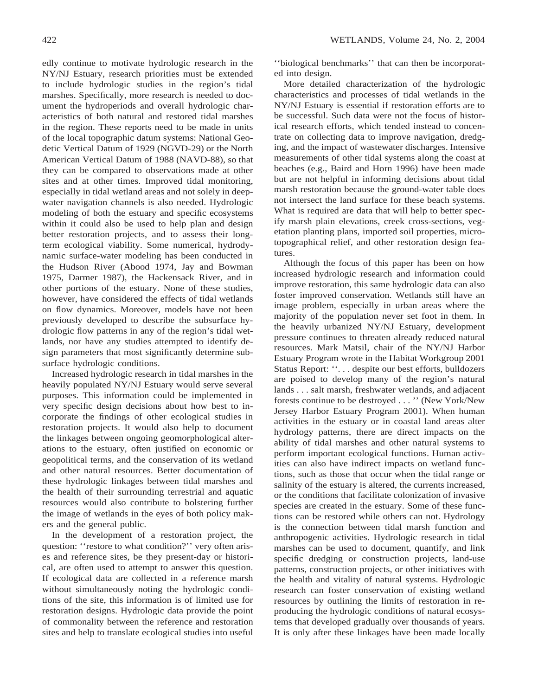edly continue to motivate hydrologic research in the NY/NJ Estuary, research priorities must be extended to include hydrologic studies in the region's tidal marshes. Specifically, more research is needed to document the hydroperiods and overall hydrologic characteristics of both natural and restored tidal marshes in the region. These reports need to be made in units of the local topographic datum systems: National Geodetic Vertical Datum of 1929 (NGVD-29) or the North American Vertical Datum of 1988 (NAVD-88), so that they can be compared to observations made at other sites and at other times. Improved tidal monitoring, especially in tidal wetland areas and not solely in deepwater navigation channels is also needed. Hydrologic modeling of both the estuary and specific ecosystems within it could also be used to help plan and design better restoration projects, and to assess their longterm ecological viability. Some numerical, hydrodynamic surface-water modeling has been conducted in the Hudson River (Abood 1974, Jay and Bowman 1975, Darmer 1987), the Hackensack River, and in other portions of the estuary. None of these studies, however, have considered the effects of tidal wetlands on flow dynamics. Moreover, models have not been previously developed to describe the subsurface hydrologic flow patterns in any of the region's tidal wetlands, nor have any studies attempted to identify design parameters that most significantly determine subsurface hydrologic conditions.

Increased hydrologic research in tidal marshes in the heavily populated NY/NJ Estuary would serve several purposes. This information could be implemented in very specific design decisions about how best to incorporate the findings of other ecological studies in restoration projects. It would also help to document the linkages between ongoing geomorphological alterations to the estuary, often justified on economic or geopolitical terms, and the conservation of its wetland and other natural resources. Better documentation of these hydrologic linkages between tidal marshes and the health of their surrounding terrestrial and aquatic resources would also contribute to bolstering further the image of wetlands in the eyes of both policy makers and the general public.

In the development of a restoration project, the question: "restore to what condition?" very often arises and reference sites, be they present-day or historical, are often used to attempt to answer this question. If ecological data are collected in a reference marsh without simultaneously noting the hydrologic conditions of the site, this information is of limited use for restoration designs. Hydrologic data provide the point of commonality between the reference and restoration sites and help to translate ecological studies into useful

''biological benchmarks'' that can then be incorporated into design.

More detailed characterization of the hydrologic characteristics and processes of tidal wetlands in the NY/NJ Estuary is essential if restoration efforts are to be successful. Such data were not the focus of historical research efforts, which tended instead to concentrate on collecting data to improve navigation, dredging, and the impact of wastewater discharges. Intensive measurements of other tidal systems along the coast at beaches (e.g., Baird and Horn 1996) have been made but are not helpful in informing decisions about tidal marsh restoration because the ground-water table does not intersect the land surface for these beach systems. What is required are data that will help to better specify marsh plain elevations, creek cross-sections, vegetation planting plans, imported soil properties, microtopographical relief, and other restoration design features.

Although the focus of this paper has been on how increased hydrologic research and information could improve restoration, this same hydrologic data can also foster improved conservation. Wetlands still have an image problem, especially in urban areas where the majority of the population never set foot in them. In the heavily urbanized NY/NJ Estuary, development pressure continues to threaten already reduced natural resources. Mark Matsil, chair of the NY/NJ Harbor Estuary Program wrote in the Habitat Workgroup 2001 Status Report: ''. . . despite our best efforts, bulldozers are poised to develop many of the region's natural lands... salt marsh, freshwater wetlands, and adjacent forests continue to be destroyed . . . '' (New York/New Jersey Harbor Estuary Program 2001). When human activities in the estuary or in coastal land areas alter hydrology patterns, there are direct impacts on the ability of tidal marshes and other natural systems to perform important ecological functions. Human activities can also have indirect impacts on wetland functions, such as those that occur when the tidal range or salinity of the estuary is altered, the currents increased, or the conditions that facilitate colonization of invasive species are created in the estuary. Some of these functions can be restored while others can not. Hydrology is the connection between tidal marsh function and anthropogenic activities. Hydrologic research in tidal marshes can be used to document, quantify, and link specific dredging or construction projects, land-use patterns, construction projects, or other initiatives with the health and vitality of natural systems. Hydrologic research can foster conservation of existing wetland resources by outlining the limits of restoration in reproducing the hydrologic conditions of natural ecosystems that developed gradually over thousands of years. It is only after these linkages have been made locally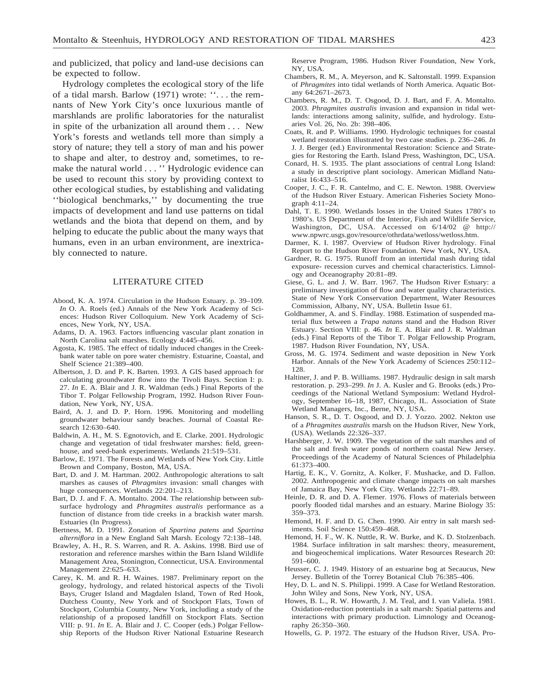and publicized, that policy and land-use decisions can be expected to follow.

Hydrology completes the ecological story of the life of a tidal marsh. Barlow (1971) wrote: ''. . . the remnants of New York City's once luxurious mantle of marshlands are prolific laboratories for the naturalist in spite of the urbanization all around them . . . New York's forests and wetlands tell more than simply a story of nature; they tell a story of man and his power to shape and alter, to destroy and, sometimes, to remake the natural world . . . '' Hydrologic evidence can be used to recount this story by providing context to other ecological studies, by establishing and validating ''biological benchmarks,'' by documenting the true impacts of development and land use patterns on tidal wetlands and the biota that depend on them, and by helping to educate the public about the many ways that humans, even in an urban environment, are inextricably connected to nature.

### LITERATURE CITED

- Abood, K. A. 1974. Circulation in the Hudson Estuary. p. 39–109. *In* O. A. Roels (ed.) Annals of the New York Academy of Sciences: Hudson River Colloquium. New York Academy of Sciences, New York, NY, USA.
- Adams, D. A. 1963. Factors influencing vascular plant zonation in North Carolina salt marshes. Ecology 4:445–456.
- Agosta, K. 1985. The effect of tidally induced changes in the Creekbank water table on pore water chemistry. Estuarine, Coastal, and Shelf Science 21:389–400.
- Albertson, J. D. and P. K. Barten. 1993. A GIS based approach for calculating groundwater flow into the Tivoli Bays. Section I: p. 27. *In* E. A. Blair and J. R. Waldman (eds.) Final Reports of the Tibor T. Polgar Fellowship Program, 1992. Hudson River Foundation, New York, NY, USA.
- Baird, A. J. and D. P. Horn. 1996. Monitoring and modelling groundwater behaviour sandy beaches. Journal of Coastal Research 12:630–640.
- Baldwin, A. H., M. S. Egnotovich, and E. Clarke. 2001. Hydrologic change and vegetation of tidal freshwater marshes: field, greenhouse, and seed-bank experiments. Wetlands 21:519–531.
- Barlow, E. 1971. The Forests and Wetlands of New York City. Little Brown and Company, Boston, MA, USA.
- Bart, D. and J. M. Hartman. 2002. Anthropologic alterations to salt marshes as causes of *Phragmites* invasion: small changes with huge consequences. Wetlands 22:201–213.
- Bart, D. J. and F. A. Montalto. 2004. The relationship between subsurface hydrology and *Phragmites australis* performance as a function of distance from tide creeks in a brackish water marsh. Estuaries (In Progress).
- Bertness, M. D. 1991. Zonation of *Spartina patens* and *Spartina alterniflora* in a New England Salt Marsh. Ecology 72:138–148.
- Brawley, A. H., R. S. Warren, and R. A. Askins. 1998. Bird use of restoration and reference marshes within the Barn Island Wildlife Management Area, Stonington, Connecticut, USA. Environmental Management 22:625–633.
- Carey, K. M. and R. H. Waines. 1987. Preliminary report on the geology, hydrology, and related historical aspects of the Tivoli Bays, Cruger Island and Magdalen Island, Town of Red Hook, Dutchess County, New York and of Stockport Flats, Town of Stockport, Columbia County, New York, including a study of the relationship of a proposed landfill on Stockport Flats. Section VIII: p. 91. *In* E. A. Blair and J. C. Cooper (eds.) Polgar Fellowship Reports of the Hudson River National Estuarine Research

Reserve Program, 1986. Hudson River Foundation, New York, NY, USA.

- Chambers, R. M., A. Meyerson, and K. Saltonstall. 1999. Expansion of *Phragmites* into tidal wetlands of North America. Aquatic Botany 64:2671–2673.
- Chambers, R. M., D. T. Osgood, D. J. Bart, and F. A. Montalto. 2003. *Phragmites australis* invasion and expansion in tidal wetlands: interactions among salinity, sulfide, and hydrology. Estuaries Vol. 26, No. 2b: 398–406.
- Coats, R. and P. Williams. 1990. Hydrologic techniques for coastal wetland restoration illustrated by two case studies. p. 236–246. *In* J. J. Berger (ed.) Environmental Restoration: Science and Strategies for Restoring the Earth. Island Press, Washington, DC, USA.
- Conard, H. S. 1935. The plant associations of central Long Island: a study in descriptive plant sociology. American Midland Naturalist 16:433–516.
- Cooper, J. C., F. R. Cantelmo, and C. E. Newton. 1988. Overview of the Hudson River Estuary. American Fisheries Society Monograph 4:11–24.
- Dahl, T. E. 1990. Wetlands losses in the United States 1780's to 1980's. US Department of the Interior, Fish and Wildlife Service, Washington, DC, USA. Accessed on 6/14/02 @ http:// www.npwrc.usgs.gov/resource/othrdata/wetloss/wetloss.htm.
- Darmer, K. I. 1987. Overview of Hudson River hydrology. Final Report to the Hudson River Foundation. New York, NY, USA.
- Gardner, R. G. 1975. Runoff from an intertidal mash during tidal exposure- recession curves and chemical characteristics. Limnology and Oceanography 20:81–89.
- Giese, G. L. and J. W. Barr. 1967. The Hudson River Estuary: a preliminary investigation of flow and water quality characteristics. State of New York Conservation Department, Water Resources Commission, Albany, NY, USA. Bulletin Issue 61.
- Goldhammer, A. and S. Findlay. 1988. Estimation of suspended material flux between a *Trapa natans* stand and the Hudson River Estuary. Section VIII: p. 46. *In* E. A. Blair and J. R. Waldman (eds.) Final Reports of the Tibor T. Polgar Fellowship Program, 1987. Hudson River Foundation, NY, USA.
- Gross, M. G. 1974. Sediment and waste deposition in New York Harbor. Annals of the New York Academy of Sciences 250:112– 128.
- Haltiner, J. and P. B. Williams. 1987. Hydraulic design in salt marsh restoration. p. 293–299. *In* J. A. Kusler and G. Brooks (eds.) Proceedings of the National Wetland Symposium: Wetland Hydrology, September 16–18, 1987, Chicago, IL. Association of State Wetland Managers, Inc., Berne, NY, USA.
- Hanson, S. R., D. T. Osgood, and D. J. Yozzo. 2002. Nekton use of a *Phragmites australis* marsh on the Hudson River, New York, (USA). Wetlands 22:326–337.
- Harshberger, J. W. 1909. The vegetation of the salt marshes and of the salt and fresh water ponds of northern coastal New Jersey. Proceedings of the Academy of Natural Sciences of Philadelphia 61:373–400.
- Hartig, E. K., V. Gornitz, A. Kolker, F. Mushacke, and D. Fallon. 2002. Anthropogenic and climate change impacts on salt marshes of Jamaica Bay, New York City. Wetlands 22:71–89.
- Heinle, D. R. and D. A. Flemer. 1976. Flows of materials between poorly flooded tidal marshes and an estuary. Marine Biology 35: 359–373.
- Hemond, H. F. and D. G. Chen. 1990. Air entry in salt marsh sediments. Soil Science 150:459–468.
- Hemond, H. F., W. K. Nuttle, R. W. Burke, and K. D. Stolzenbach. 1984. Surface infiltration in salt marshes: theory, measurement, and biogeochemical implications. Water Resources Research 20: 591–600.
- Heusser, C. J. 1949. History of an estuarine bog at Secaucus, New Jersey. Bulletin of the Torrey Botanical Club 76:385–406.
- Hey, D. L. and N. S. Philippi. 1999. A Case for Wetland Restoration. John Wiley and Sons, New York, NY, USA.
- Howes, B. L., R. W. Howarth, J. M. Teal, and I. van Valiela. 1981. Oxidation-reduction potentials in a salt marsh: Spatial patterns and interactions with primary production. Limnology and Oceanography 26:350–360.
- Howells, G. P. 1972. The estuary of the Hudson River, USA. Pro-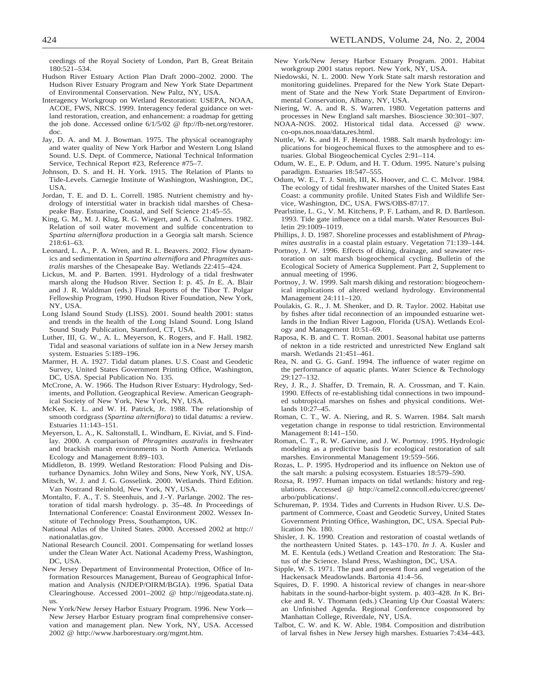ceedings of the Royal Society of London, Part B, Great Britain 180:521–534.

- Hudson River Estuary Action Plan Draft 2000–2002. 2000. The Hudson River Estuary Program and New York State Department of Environmental Conservation. New Paltz, NY, USA.
- Interagency Workgroup on Wetland Restoration: USEPA, NOAA, ACOE, FWS, NRCS. 1999. Interagency federal guidance on wetland restoration, creation, and enhancement: a roadmap for getting the job done. Accessed online 6/1/5/02 @ ftp://fb-net.org/restorer. doc.
- Jay, D. A. and M. J. Bowman. 1975. The physical oceanography and water quality of New York Harbor and Western Long Island Sound. U.S. Dept. of Commerce, National Technical Information Service, Technical Report #23, Reference #75–7.
- Johnson, D. S. and H. H. York. 1915. The Relation of Plants to Tide-Levels. Carnegie Institute of Washington, Washington, DC, USA.
- Jordan, T. E. and D. L. Correll. 1985. Nutrient chemistry and hydrology of interstitial water in brackish tidal marshes of Chesapeake Bay. Estuarine, Coastal, and Self Science 21:45–55.
- King, G. M., M. J. Klug, R. G. Wiegert, and A. G. Chalmers. 1982. Relation of soil water movement and sulfide concentration to *Spartina alterniflora* production in a Georgia salt marsh. Science 218:61–63.
- Leonard, L. A., P. A. Wren, and R. L. Beavers. 2002. Flow dynamics and sedimentation in *Spartina alterniflora* and *Phragmites australis* marshes of the Chesapeake Bay. Wetlands 22:415–424.
- Lickus, M. and P. Barten. 1991. Hydrology of a tidal freshwater marsh along the Hudson River. Section I: p. 45. *In* E. A. Blair and J. R. Waldman (eds.) Final Reports of the Tibor T. Polgar Fellowship Program, 1990. Hudson River Foundation, New York, NY, USA.
- Long Island Sound Study (LISS). 2001. Sound health 2001: status and trends in the health of the Long Island Sound. Long Island Sound Study Publication, Stamford, CT, USA.
- Luther, III, G. W., A. L. Meyerson, K. Rogers, and F. Hall. 1982. Tidal and seasonal variations of sulfate ion in a New Jersey marsh system. Estuaries 5:189–196.
- Marmer, H. A. 1927. Tidal datum planes. U.S. Coast and Geodetic Survey, United States Government Printing Office, Washington, DC, USA. Special Publication No. 135.
- McCrone, A. W. 1966. The Hudson River Estuary: Hydrology, Sediments, and Pollution. Geographical Review. American Geographical Society of New York, New York, NY, USA.
- McKee, K. L. and W. H. Patrick, Jr. 1988. The relationship of smooth cordgrass (*Spartina alterniflora*) to tidal datums: a review. Estuaries 11:143–151.
- Meyerson, L. A., K. Saltonstall, L. Windham, E. Kiviat, and S. Findlay. 2000. A comparison of *Phragmites australis* in freshwater and brackish marsh environments in North America. Wetlands Ecology and Management 8:89–103.
- Middleton, B. 1999. Wetland Restoration: Flood Pulsing and Disturbance Dynamics. John Wiley and Sons, New York, NY, USA.
- Mitsch, W. J. and J. G. Gosselink. 2000. Wetlands. Third Edition. Van Nostrand Reinhold, New York, NY, USA.
- Montalto, F. A., T. S. Steenhuis, and J.-Y. Parlange. 2002. The restoration of tidal marsh hydrology. p. 35–48. *In* Proceedings of International Conference: Coastal Environment 2002. Wessex Institute of Technology Press, Southampton, UK.
- National Atlas of the United States. 2000. Accessed 2002 at http:// nationalatlas.gov.
- National Research Council. 2001. Compensating for wetland losses under the Clean Water Act. National Academy Press, Washington, DC, USA.
- New Jersey Department of Environmental Protection, Office of Information Resources Management, Bureau of Geographical Information and Analysis (NJDEP/OIRM/BGIA). 1996. Spatial Data Clearinghouse. Accessed 2001–2002 @ http://njgeodata.state.nj. us.
- New York/New Jersey Harbor Estuary Program. 1996. New York— New Jersey Harbor Estuary program final comprehensive conservation and management plan. New York, NY, USA. Accessed 2002 @ http://www.harborestuary.org/mgmt.htm.
- New York/New Jersey Harbor Estuary Program. 2001. Habitat workgroup 2001 status report. New York, NY, USA.
- Niedowski, N. L. 2000. New York State salt marsh restoration and monitoring guidelines. Prepared for the New York State Department of State and the New York State Department of Environmental Conservation, Albany, NY, USA.
- Niering, W. A. and R. S. Warren. 1980. Vegetation patterns and processes in New England salt marshes. Bioscience 30:301–307.
- NOAA-NOS. 2002. Historical tidal data. Accessed @ www. co-ops.nos.noaa/data\_res.html.
- Nuttle, W. K. and H. F. Hemond. 1988. Salt marsh hydrology: implications for biogeochemical fluxes to the atmosphere and to estuaries. Global Biogeochemical Cycles 2:91–114.
- Odum, W. E., E. P. Odum, and H. T. Odum. 1995. Nature's pulsing paradigm. Estuaries 18:547–555.
- Odum, W. E., T. J. Smith, III, K. Hoover, and C. C. McIvor. 1984. The ecology of tidal freshwater marshes of the United States East Coast: a community profile. United States Fish and Wildlife Service, Washington, DC, USA. FWS/OBS-87/17.
- Pearlstine, L. G., V. M. Kitchens, P. F. Latham, and R. D. Bartleson. 1993. Tide gate influence on a tidal marsh. Water Resources Bulletin 29:1009–1019.
- Phillips, J. D. 1987. Shoreline processes and establishment of *Phragmites australis* in a coastal plain estuary. Vegetation 71:139–144.
- Portnoy, J. W. 1996. Effects of diking, drainage, and seawater restoration on salt marsh biogeochemical cycling. Bulletin of the Ecological Society of America Supplement. Part 2, Supplement to annual meeting of 1996.
- Portnoy, J. W. 1999. Salt marsh diking and restoration: biogeochemical implications of altered wetland hydrology. Environmental Management 24:111–120.
- Poulakis, G. R., J. M. Shenker, and D. R. Taylor. 2002. Habitat use by fishes after tidal reconnection of an impounded estuarine wetlands in the Indian River Lagoon, Florida (USA). Wetlands Ecology and Management 10:51–69.
- Raposa, K. B. and C. T. Roman. 2001. Seasonal habitat use patterns of nekton in a tide restricted and unrestricted New England salt marsh. Wetlands 21:451–461.
- Rea, N. and G. G. Ganf. 1994. The influence of water regime on the performance of aquatic plants. Water Science & Technology 29:127–132.
- Rey, J. R., J. Shaffer, D. Tremain, R. A. Crossman, and T. Kain. 1990. Effects of re-establishing tidal connections in two impounded subtropical marshes on fishes and physical conditions. Wetlands 10:27–45.
- Roman, C. T., W. A. Niering, and R. S. Warren. 1984. Salt marsh vegetation change in response to tidal restriction. Environmental Management 8:141–150.
- Roman, C. T., R. W. Garvine, and J. W. Portnoy. 1995. Hydrologic modeling as a predictive basis for ecological restoration of salt marshes. Environmental Management 19:559–566.
- Rozas, L. P. 1995. Hydroperiod and its influence on Nekton use of the salt marsh: a pulsing ecosystem. Estuaries 18:579–590.
- Rozsa, R. 1997. Human impacts on tidal wetlands: history and regulations. Accessed @ http://camel2.conncoll.edu/ccrec/greenet/ arbo/publications/.
- Schureman, P. 1934. Tides and Currents in Hudson River. U.S. Department of Commerce, Coast and Geodetic Survey, United States Government Printing Office, Washington, DC, USA. Special Publication No. 180.
- Shisler, J. K. 1990. Creation and restoration of coastal wetlands of the northeastern United States. p. 143–170. *In* J. A. Kusler and M. E. Kentula (eds.) Wetland Creation and Restoration: The Status of the Science. Island Press, Washington, DC, USA.
- Sipple, W. S. 1971. The past and present flora and vegetation of the Hackensack Meadowlands. Bartonia 41:4–56.
- Squires, D. F. 1990. A historical review of changes in near-shore habitats in the sound-harbor-bight system. p. 403–428. *In* K. Bricke and R. V. Thomann (eds.) Cleaning Up Our Coastal Waters: an Unfinished Agenda. Regional Conference cosponsored by Manhattan College, Riverdale, NY, USA.
- Talbot, C. W. and K. W. Able. 1984. Composition and distribution of larval fishes in New Jersey high marshes. Estuaries 7:434–443.